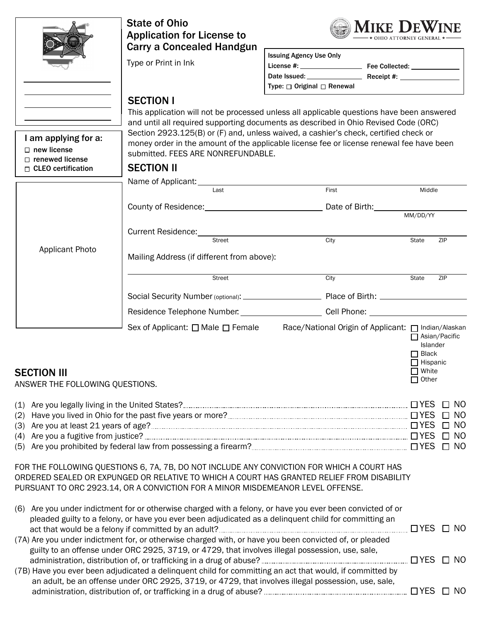|                                                                                                   | <b>State of Ohio</b><br><b>Application for License to</b><br><b>Carry a Concealed Handgun</b>                                                                                                                                                                               | MIKE DEWINE<br><b>OHIO ATTORNEY GEN</b>                                                                                                                                                                                                                                                                                                                              |                                                                             |                           |
|---------------------------------------------------------------------------------------------------|-----------------------------------------------------------------------------------------------------------------------------------------------------------------------------------------------------------------------------------------------------------------------------|----------------------------------------------------------------------------------------------------------------------------------------------------------------------------------------------------------------------------------------------------------------------------------------------------------------------------------------------------------------------|-----------------------------------------------------------------------------|---------------------------|
|                                                                                                   | Type or Print in Ink                                                                                                                                                                                                                                                        | <b>Issuing Agency Use Only</b>                                                                                                                                                                                                                                                                                                                                       |                                                                             |                           |
|                                                                                                   |                                                                                                                                                                                                                                                                             | Type: □ Original □ Renewal                                                                                                                                                                                                                                                                                                                                           |                                                                             |                           |
| I am applying for a:<br>$\Box$ new license<br>$\Box$ renewed license<br>$\Box$ CLEO certification | <b>SECTION I</b><br>submitted. FEES ARE NONREFUNDABLE.<br><b>SECTION II</b>                                                                                                                                                                                                 | This application will not be processed unless all applicable questions have been answered<br>and until all required supporting documents as described in Ohio Revised Code (ORC)<br>Section 2923.125(B) or (F) and, unless waived, a cashier's check, certified check or<br>money order in the amount of the applicable license fee or license renewal fee have been |                                                                             |                           |
|                                                                                                   | Name of Applicant: _____________<br>Last                                                                                                                                                                                                                                    | First                                                                                                                                                                                                                                                                                                                                                                | Middle                                                                      |                           |
|                                                                                                   |                                                                                                                                                                                                                                                                             | County of Residence: County of Residence:                                                                                                                                                                                                                                                                                                                            |                                                                             |                           |
|                                                                                                   |                                                                                                                                                                                                                                                                             |                                                                                                                                                                                                                                                                                                                                                                      | MM/DD/YY                                                                    |                           |
|                                                                                                   | Street                                                                                                                                                                                                                                                                      | City                                                                                                                                                                                                                                                                                                                                                                 | State                                                                       | ZIP                       |
| <b>Applicant Photo</b>                                                                            | Mailing Address (if different from above):                                                                                                                                                                                                                                  |                                                                                                                                                                                                                                                                                                                                                                      |                                                                             |                           |
|                                                                                                   | Street                                                                                                                                                                                                                                                                      | City                                                                                                                                                                                                                                                                                                                                                                 | State                                                                       | ZIP                       |
|                                                                                                   |                                                                                                                                                                                                                                                                             |                                                                                                                                                                                                                                                                                                                                                                      |                                                                             |                           |
|                                                                                                   |                                                                                                                                                                                                                                                                             | Residence Telephone Number. ______________________________Cell Phone: ______________________________                                                                                                                                                                                                                                                                 |                                                                             |                           |
| <b>SECTION III</b><br>ANSWER THE FOLLOWING QUESTIONS.                                             | Sex of Applicant: □ Male □ Female                                                                                                                                                                                                                                           | Race/National Origin of Applicant: □ Indian/Alaskan                                                                                                                                                                                                                                                                                                                  | Islander<br>$\Box$ Black<br>$\Box$ Hispanic<br>$\Box$ White<br>$\Box$ Other | $\Box$ Asian/Pacific      |
| (1)                                                                                               | Are you legally living in the United States? <b>[19] Are you legally living in the United States?</b> [2011] Are you legally living in the United States? [2012] Are you legal and the United States? [2012] Are you leader that th                                         |                                                                                                                                                                                                                                                                                                                                                                      |                                                                             | $\Box$ NO                 |
| (2)                                                                                               |                                                                                                                                                                                                                                                                             |                                                                                                                                                                                                                                                                                                                                                                      |                                                                             | $\Box$ NO<br>$\square$ NO |
| (4)                                                                                               |                                                                                                                                                                                                                                                                             |                                                                                                                                                                                                                                                                                                                                                                      |                                                                             |                           |
|                                                                                                   |                                                                                                                                                                                                                                                                             |                                                                                                                                                                                                                                                                                                                                                                      |                                                                             |                           |
|                                                                                                   | FOR THE FOLLOWING QUESTIONS 6, 7A, 7B, DO NOT INCLUDE ANY CONVICTION FOR WHICH A COURT HAS<br>ORDERED SEALED OR EXPUNGED OR RELATIVE TO WHICH A COURT HAS GRANTED RELIEF FROM DISABILITY<br>PURSUANT TO ORC 2923.14, OR A CONVICTION FOR A MINOR MISDEMEANOR LEVEL OFFENSE. |                                                                                                                                                                                                                                                                                                                                                                      |                                                                             |                           |
|                                                                                                   | (6) Are you under indictment for or otherwise charged with a felony, or have you ever been convicted of or<br>pleaded guilty to a felony, or have you ever been adjudicated as a delinquent child for committing an                                                         |                                                                                                                                                                                                                                                                                                                                                                      |                                                                             |                           |
|                                                                                                   | (7A) Are you under indictment for, or otherwise charged with, or have you been convicted of, or pleaded<br>guilty to an offense under ORC 2925, 3719, or 4729, that involves illegal possession, use, sale,                                                                 |                                                                                                                                                                                                                                                                                                                                                                      |                                                                             |                           |
|                                                                                                   |                                                                                                                                                                                                                                                                             |                                                                                                                                                                                                                                                                                                                                                                      |                                                                             |                           |
|                                                                                                   | (7B) Have you ever been adjudicated a delinquent child for committing an act that would, if committed by<br>an adult, be an offense under ORC 2925, 3719, or 4729, that involves illegal possession, use, sale,                                                             |                                                                                                                                                                                                                                                                                                                                                                      |                                                                             |                           |
|                                                                                                   |                                                                                                                                                                                                                                                                             |                                                                                                                                                                                                                                                                                                                                                                      |                                                                             |                           |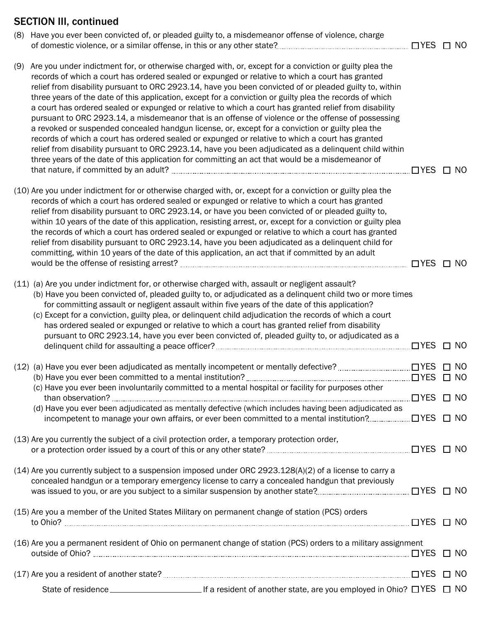## SECTION III, continued

|     | (8) Have you ever been convicted of, or pleaded guilty to, a misdemeanor offense of violence, charge                                                                                                                                                                                                                                                                                                                                                                                                                                                                                                                                                                                                                                                                                                                                                                                                                                                                                                                                                                     | $\Box$ YES            | $\Box$ NO |
|-----|--------------------------------------------------------------------------------------------------------------------------------------------------------------------------------------------------------------------------------------------------------------------------------------------------------------------------------------------------------------------------------------------------------------------------------------------------------------------------------------------------------------------------------------------------------------------------------------------------------------------------------------------------------------------------------------------------------------------------------------------------------------------------------------------------------------------------------------------------------------------------------------------------------------------------------------------------------------------------------------------------------------------------------------------------------------------------|-----------------------|-----------|
| (9) | Are you under indictment for, or otherwise charged with, or, except for a conviction or guilty plea the<br>records of which a court has ordered sealed or expunged or relative to which a court has granted<br>relief from disability pursuant to ORC 2923.14, have you been convicted of or pleaded guilty to, within<br>three years of the date of this application, except for a conviction or guilty plea the records of which<br>a court has ordered sealed or expunged or relative to which a court has granted relief from disability<br>pursuant to ORC 2923.14, a misdemeanor that is an offense of violence or the offense of possessing<br>a revoked or suspended concealed handgun license, or, except for a conviction or guilty plea the<br>records of which a court has ordered sealed or expunged or relative to which a court has granted<br>relief from disability pursuant to ORC 2923.14, have you been adjudicated as a delinquent child within<br>three years of the date of this application for committing an act that would be a misdemeanor of | $\Box$ YES            | $\Box$ NO |
|     |                                                                                                                                                                                                                                                                                                                                                                                                                                                                                                                                                                                                                                                                                                                                                                                                                                                                                                                                                                                                                                                                          |                       |           |
|     | (10) Are you under indictment for or otherwise charged with, or, except for a conviction or guilty plea the<br>records of which a court has ordered sealed or expunged or relative to which a court has granted<br>relief from disability pursuant to ORC 2923.14, or have you been convicted of or pleaded guilty to,<br>within 10 years of the date of this application, resisting arrest, or, except for a conviction or guilty plea<br>the records of which a court has ordered sealed or expunged or relative to which a court has granted<br>relief from disability pursuant to ORC 2923.14, have you been adjudicated as a delinquent child for<br>committing, within 10 years of the date of this application, an act that if committed by an adult                                                                                                                                                                                                                                                                                                              | $\Box$ YES $\Box$ NO  |           |
|     |                                                                                                                                                                                                                                                                                                                                                                                                                                                                                                                                                                                                                                                                                                                                                                                                                                                                                                                                                                                                                                                                          |                       |           |
|     | (11) (a) Are you under indictment for, or otherwise charged with, assault or negligent assault?<br>(b) Have you been convicted of, pleaded guilty to, or adjudicated as a delinquent child two or more times<br>for committing assault or negligent assault within five years of the date of this application?<br>(c) Except for a conviction, guilty plea, or delinquent child adjudication the records of which a court<br>has ordered sealed or expunged or relative to which a court has granted relief from disability<br>pursuant to ORC 2923.14, have you ever been convicted of, pleaded guilty to, or adjudicated as a                                                                                                                                                                                                                                                                                                                                                                                                                                          |                       |           |
|     |                                                                                                                                                                                                                                                                                                                                                                                                                                                                                                                                                                                                                                                                                                                                                                                                                                                                                                                                                                                                                                                                          | $\Box$ TYES $\Box$ NO |           |
|     |                                                                                                                                                                                                                                                                                                                                                                                                                                                                                                                                                                                                                                                                                                                                                                                                                                                                                                                                                                                                                                                                          |                       |           |
|     | (c) Have you ever been involuntarily committed to a mental hospital or facility for purposes other<br>than observation?                                                                                                                                                                                                                                                                                                                                                                                                                                                                                                                                                                                                                                                                                                                                                                                                                                                                                                                                                  | JYES □ NO             |           |
|     | (d) Have you ever been adjudicated as mentally defective (which includes having been adjudicated as                                                                                                                                                                                                                                                                                                                                                                                                                                                                                                                                                                                                                                                                                                                                                                                                                                                                                                                                                                      |                       |           |
|     | (13) Are you currently the subject of a civil protection order, a temporary protection order,                                                                                                                                                                                                                                                                                                                                                                                                                                                                                                                                                                                                                                                                                                                                                                                                                                                                                                                                                                            |                       |           |
|     | $(14)$ Are you currently subject to a suspension imposed under ORC 2923.128(A)(2) of a license to carry a<br>concealed handgun or a temporary emergency license to carry a concealed handgun that previously                                                                                                                                                                                                                                                                                                                                                                                                                                                                                                                                                                                                                                                                                                                                                                                                                                                             |                       |           |
|     | (15) Are you a member of the United States Military on permanent change of station (PCS) orders                                                                                                                                                                                                                                                                                                                                                                                                                                                                                                                                                                                                                                                                                                                                                                                                                                                                                                                                                                          |                       |           |
|     | (16) Are you a permanent resident of Ohio on permanent change of station (PCS) orders to a military assignment                                                                                                                                                                                                                                                                                                                                                                                                                                                                                                                                                                                                                                                                                                                                                                                                                                                                                                                                                           |                       |           |
|     |                                                                                                                                                                                                                                                                                                                                                                                                                                                                                                                                                                                                                                                                                                                                                                                                                                                                                                                                                                                                                                                                          |                       | $\Box$ NO |
|     |                                                                                                                                                                                                                                                                                                                                                                                                                                                                                                                                                                                                                                                                                                                                                                                                                                                                                                                                                                                                                                                                          |                       |           |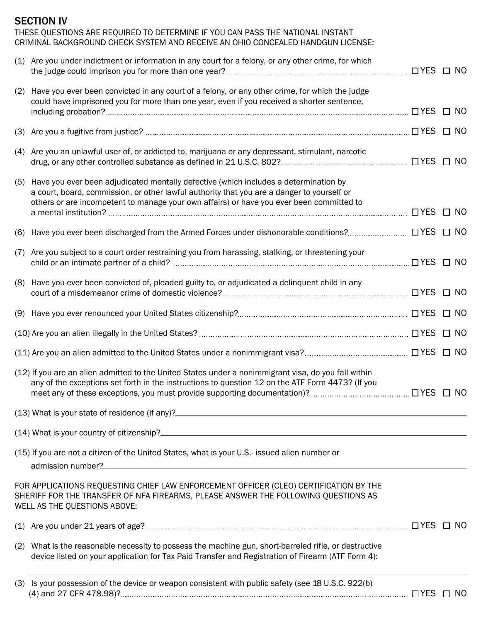# SECTION IV THESE QUESTIONS ARE REQUIRED TO DETERMINE IF YOU CAN PASS THE NATIONAL INSTANT CRIMINAL BACKGROUND CHECK SYSTEM AND RECEIVE AN OHIO CONCEALED HANDGUN LICENSE: (1) Are you under indictment or information in any court for a felony, or any other crime, for which the judge could imprison you for more than one year? YES NO (2) Have you ever been convicted in any court of a felony, or any other crime, for which the judge could have imprisoned you for more than one year, even if you received a shorter sentence, including probation? **NO**<br>including probation? NO (3) Are you a fugitive from justice? YES NO (4) Are you an unlawful user of, or addicted to, marijuana or any depressant, stimulant, narcotic drug, or any other controlled substance as defined in 21 U.S.C. 802? YES NO (5) Have you ever been adjudicated mentally defective (which includes a determination by a court, board, commission, or other lawful authority that you are a danger to yourself or others or are incompetent to manage your own affairs) or have you ever been committed to a mental institution? YES NO (6) Have you ever been discharged from the Armed Forces under dishonorable conditions? YES NO (7) Are you subject to a court order restraining you from harassing, stalking, or threatening your child or an intimate partner of a child? YES NO (8) Have you ever been convicted of, pleaded guilty to, or adjudicated a delinquent child in any court of a misdemeanor crime of domestic violence? YES NO (9) Have you ever renounced your United States citizenship? YES NO (10) Are you an alien illegally in the United States? YES NO (11) Are you an alien admitted to the United States under a nonimmigrant visa? YES NO (12) If you are an alien admitted to the United States under a nonimmigrant visa, do you fall within any of the exceptions set forth in the instructions to question 12 on the ATF Form 4473? (If you meet any of these exceptions, you must provide supporting documentation)? YES NO (13) What is your state of residence (if any)? (14) What is your country of citizenship? (15) If you are not a citizen of the United States, what is your U.S.- issued alien number or admission number?<br>
and the state of the state of the state of the state of the state of the state of the state of the state of the state of the state of the state of the state of the state of the state of the state of the FOR APPLICATIONS REQUESTING CHIEF LAW ENFORCEMENT OFFICER (CLEO) CERTIFICATION BY THE SHERIFF FOR THE TRANSFER OF NFA FIREARMS, PLEASE ANSWER THE FOLLOWING QUESTIONS AS WELL AS THE QUESTIONS ABOVE: (1) Are you under 21 years of age? YES NO (2) What is the reasonable necessity to possess the machine gun, short-barreled rifle, or destructive device listed on your application for Tax Paid Transfer and Registration of Firearm (ATF Form 4): (3) Is your possession of the device or weapon consistent with public safety (see 18 U.S.C. 922(b) (4) and 27 CFR 478.98)? YES NO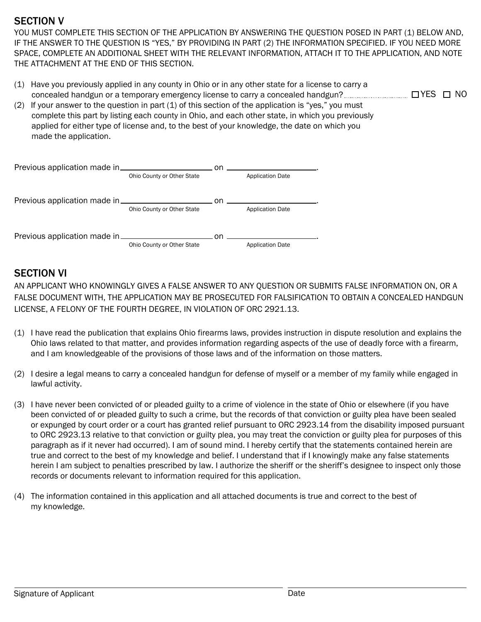#### SECTION V

YOU MUST COMPLETE THIS SECTION OF THE APPLICATION BY ANSWERING THE QUESTION POSED IN PART (1) BELOW AND, IF THE ANSWER TO THE QUESTION IS "YES," BY PROVIDING IN PART (2) THE INFORMATION SPECIFIED. IF YOU NEED MORE SPACE, COMPLETE AN ADDITIONAL SHEET WITH THE RELEVANT INFORMATION, ATTACH IT TO THE APPLICATION, AND NOTE THE ATTACHMENT AT THE END OF THIS SECTION.

- (1) Have you previously applied in any county in Ohio or in any other state for a license to carry a concealed handgun or a temporary emergency license to carry a concealed handgun? YES NO
- (2) If your answer to the question in part  $(1)$  of this section of the application is "yes," you must complete this part by listing each county in Ohio, and each other state, in which you previously applied for either type of license and, to the best of your knowledge, the date on which you made the application.

|                                           | n on                       |    |                         |
|-------------------------------------------|----------------------------|----|-------------------------|
|                                           | Ohio County or Other State |    | <b>Application Date</b> |
|                                           |                            |    |                         |
|                                           |                            | nn |                         |
|                                           | Ohio County or Other State |    | <b>Application Date</b> |
|                                           |                            |    |                         |
| Previous application made in ____________ |                            | nn |                         |
|                                           | Ohio County or Other State |    | <b>Application Date</b> |

#### SECTION VI

AN APPLICANT WHO KNOWINGLY GIVES A FALSE ANSWER TO ANY QUESTION OR SUBMITS FALSE INFORMATION ON, OR A FALSE DOCUMENT WITH, THE APPLICATION MAY BE PROSECUTED FOR FALSIFICATION TO OBTAIN A CONCEALED HANDGUN LICENSE, A FELONY OF THE FOURTH DEGREE, IN VIOLATION OF ORC 2921.13.

- (1) I have read the publication that explains Ohio firearms laws, provides instruction in dispute resolution and explains the Ohio laws related to that matter, and provides information regarding aspects of the use of deadly force with a firearm, and I am knowledgeable of the provisions of those laws and of the information on those matters.
- (2) I desire a legal means to carry a concealed handgun for defense of myself or a member of my family while engaged in lawful activity.
- (3) I have never been convicted of or pleaded guilty to a crime of violence in the state of Ohio or elsewhere (if you have been convicted of or pleaded guilty to such a crime, but the records of that conviction or guilty plea have been sealed or expunged by court order or a court has granted relief pursuant to ORC 2923.14 from the disability imposed pursuant to ORC 2923.13 relative to that conviction or guilty plea, you may treat the conviction or guilty plea for purposes of this paragraph as if it never had occurred). I am of sound mind. I hereby certify that the statements contained herein are true and correct to the best of my knowledge and belief. I understand that if I knowingly make any false statements herein I am subject to penalties prescribed by law. I authorize the sheriff or the sheriff's designee to inspect only those records or documents relevant to information required for this application.
- (4) The information contained in this application and all attached documents is true and correct to the best of my knowledge.